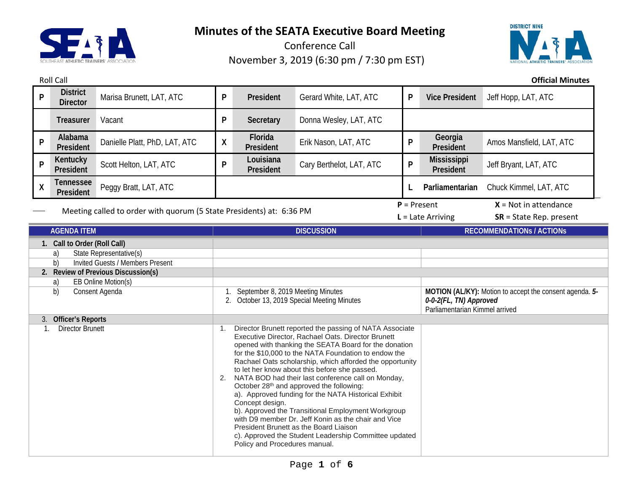

Roll Call **Official Minutes**

Conference Call November 3, 2019 (6:30 pm / 7:30 pm EST)



**<sup>P</sup> District Director** Marisa Brunett, LAT, ATC **<sup>P</sup> President** Gerard White, LAT, ATC **<sup>P</sup> Vice President** Jeff Hopp, LAT, ATC **Treasurer** Vacant **P Secretary** Donna Wesley, LAT, ATC **<sup>P</sup> Alabama President** Danielle Platt, PhD, LAT, ATC **X President President** Erik Nason, LAT, ATC **<sup>P</sup> Georgia**  Amos Mansfield, LAT, ATC **<sup>P</sup> Kentucky President** Scott Helton, LAT, ATC **<sup>P</sup> Louisiana President** Cary Berthelot, LAT, ATC **<sup>P</sup> Mississippi**  Jeff Bryant, LAT, ATC **<sup>X</sup> Tennessee President** Peggy Bratt, LAT, ATC **<sup>L</sup> Parliamentarian** Chuck Kimmel, LAT, ATC Meeting called to order with quorum (5 State Presidents) at: 6:36 PM  $P =$  Present  $X =$  Not in attendance **L** = Late Arriving **SR** = State Rep. present **AGENDA ITEM DISCUSSION RECOMMENDATIONs / ACTIONs 1. Call to Order (Roll Call)** a) State Representative(s) b) Invited Guests / Members Present **2. Review of Previous Discussion(s)** a) EB Online Motion(s) b) Consent Agenda 1. September 8, 2019 Meeting Minutes 2. October 13, 2019 Special Meeting Minutes **MOTION (AL/KY):** Motion to accept the consent agenda. *5- 0-0-2(FL, TN) Approved* Parliamentarian Kimmel arrived 3. **Officer's Reports** 1. Director Brunett 1. Director Brunett reported the passing of NATA Associate Executive Director, Rachael Oats. Director Brunett opened with thanking the SEATA Board for the donation for the \$10,000 to the NATA Foundation to endow the Rachael Oats scholarship, which afforded the opportunity to let her know about this before she passed. 2. NATA BOD had their last conference call on Monday, October 28<sup>th</sup> and approved the following: a). Approved funding for the NATA Historical Exhibit Concept design. b). Approved the Transitional Employment Workgroup with D9 member Dr. Jeff Konin as the chair and Vice President Brunett as the Board Liaison c). Approved the Student Leadership Committee updated Policy and Procedures manual.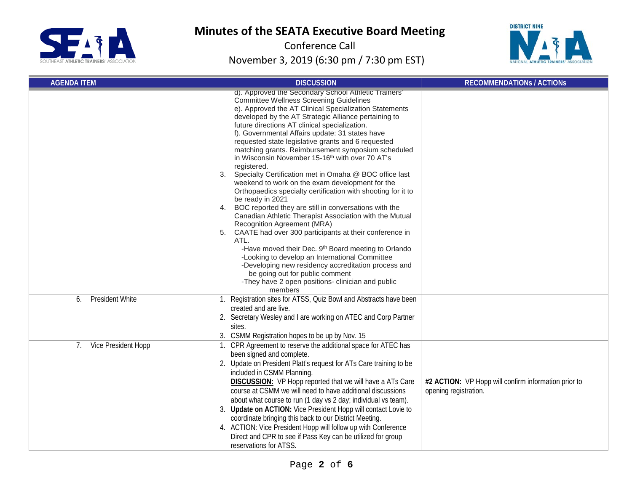



| <b>AGENDA ITEM</b>           | <b>DISCUSSION</b>                                                                                                                                                                                                                                                                                                                                                                                                                                                                                                                                                                                                                                                                                                                                                                                                                                                                                                                                                                                                                                                                                                                                                                                                                             | <b>RECOMMENDATIONS / ACTIONS</b>                                              |  |  |
|------------------------------|-----------------------------------------------------------------------------------------------------------------------------------------------------------------------------------------------------------------------------------------------------------------------------------------------------------------------------------------------------------------------------------------------------------------------------------------------------------------------------------------------------------------------------------------------------------------------------------------------------------------------------------------------------------------------------------------------------------------------------------------------------------------------------------------------------------------------------------------------------------------------------------------------------------------------------------------------------------------------------------------------------------------------------------------------------------------------------------------------------------------------------------------------------------------------------------------------------------------------------------------------|-------------------------------------------------------------------------------|--|--|
|                              | d). Approved the Secondary School Athletic Trainers'<br><b>Committee Wellness Screening Guidelines</b><br>e). Approved the AT Clinical Specialization Statements<br>developed by the AT Strategic Alliance pertaining to<br>future directions AT clinical specialization.<br>f). Governmental Affairs update: 31 states have<br>requested state legislative grants and 6 requested<br>matching grants. Reimbursement symposium scheduled<br>in Wisconsin November 15-16 <sup>th</sup> with over 70 AT's<br>registered.<br>Specialty Certification met in Omaha @ BOC office last<br>3.<br>weekend to work on the exam development for the<br>Orthopaedics specialty certification with shooting for it to<br>be ready in 2021<br>BOC reported they are still in conversations with the<br>4.<br>Canadian Athletic Therapist Association with the Mutual<br>Recognition Agreement (MRA)<br>CAATE had over 300 participants at their conference in<br>5.<br>ATL.<br>-Have moved their Dec. 9 <sup>th</sup> Board meeting to Orlando<br>-Looking to develop an International Committee<br>-Developing new residency accreditation process and<br>be going out for public comment<br>-They have 2 open positions- clinician and public<br>members |                                                                               |  |  |
| <b>President White</b><br>6. | 1. Registration sites for ATSS, Quiz Bowl and Abstracts have been<br>created and are live.<br>2. Secretary Wesley and I are working on ATEC and Corp Partner<br>sites.<br>3. CSMM Registration hopes to be up by Nov. 15                                                                                                                                                                                                                                                                                                                                                                                                                                                                                                                                                                                                                                                                                                                                                                                                                                                                                                                                                                                                                      |                                                                               |  |  |
| Vice President Hopp<br>7.    | 1. CPR Agreement to reserve the additional space for ATEC has<br>been signed and complete.<br>2. Update on President Platt's request for ATs Care training to be<br>included in CSMM Planning.<br><b>DISCUSSION:</b> VP Hopp reported that we will have a ATs Care<br>course at CSMM we will need to have additional discussions<br>about what course to run (1 day vs 2 day; individual vs team).<br>3. Update on ACTION: Vice President Hopp will contact Lovie to<br>coordinate bringing this back to our District Meeting.<br>4. ACTION: Vice President Hopp will follow up with Conference<br>Direct and CPR to see if Pass Key can be utilized for group<br>reservations for ATSS.                                                                                                                                                                                                                                                                                                                                                                                                                                                                                                                                                      | #2 ACTION: VP Hopp will confirm information prior to<br>opening registration. |  |  |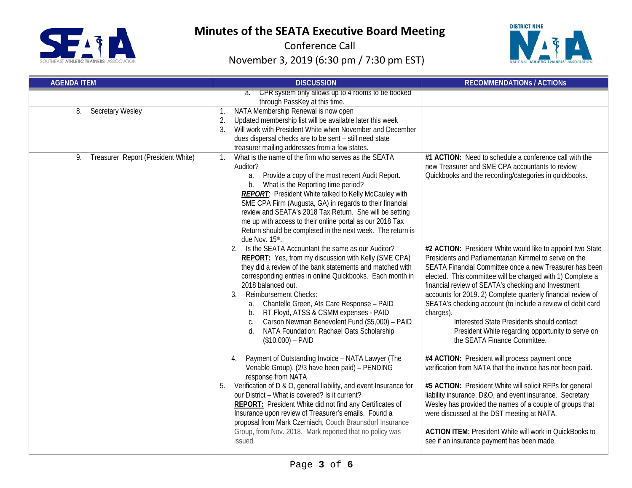



| <b>AGENDA ITEM</b>                       | <b>DISCUSSION</b>                                                                                                                                                                                                                                                                                                                                                                                                                                                                                                                         | <b>RECOMMENDATIONS / ACTIONS</b>                                                                                                                                                                                                                                                                                                                                                                                                                                                                                                                                                   |
|------------------------------------------|-------------------------------------------------------------------------------------------------------------------------------------------------------------------------------------------------------------------------------------------------------------------------------------------------------------------------------------------------------------------------------------------------------------------------------------------------------------------------------------------------------------------------------------------|------------------------------------------------------------------------------------------------------------------------------------------------------------------------------------------------------------------------------------------------------------------------------------------------------------------------------------------------------------------------------------------------------------------------------------------------------------------------------------------------------------------------------------------------------------------------------------|
|                                          | CPR system only allows up to 4 rooms to be booked<br>$\overline{a}$ .<br>through PassKey at this time.                                                                                                                                                                                                                                                                                                                                                                                                                                    |                                                                                                                                                                                                                                                                                                                                                                                                                                                                                                                                                                                    |
| <b>Secretary Wesley</b><br>8.            | NATA Membership Renewal is now open<br>1.<br>Updated membership list will be available later this week<br>2.<br>Will work with President White when November and December<br>3 <sub>1</sub><br>dues dispersal checks are to be sent - still need state<br>treasurer mailing addresses from a few states.                                                                                                                                                                                                                                  |                                                                                                                                                                                                                                                                                                                                                                                                                                                                                                                                                                                    |
| Treasurer Report (President White)<br>9. | What is the name of the firm who serves as the SEATA<br>$1_{\cdot}$<br>Auditor?<br>Provide a copy of the most recent Audit Report.<br>a.<br>b. What is the Reporting time period?<br><b>REPORT:</b> President White talked to Kelly McCauley with<br>SME CPA Firm (Augusta, GA) in regards to their financial<br>review and SEATA's 2018 Tax Return. She will be setting<br>me up with access to their online portal as our 2018 Tax<br>Return should be completed in the next week. The return is<br>due Nov. 15th.                      | #1 ACTION: Need to schedule a conference call with the<br>new Treasurer and SME CPA accountants to review<br>Quickbooks and the recording/categories in quickbooks.                                                                                                                                                                                                                                                                                                                                                                                                                |
|                                          | Is the SEATA Accountant the same as our Auditor?<br>2.<br>REPORT: Yes, from my discussion with Kelly (SME CPA)<br>they did a review of the bank statements and matched with<br>corresponding entries in online Quickbooks. Each month in<br>2018 balanced out.<br>Reimbursement Checks:<br>3.<br>Chantelle Green, Ats Care Response - PAID<br>a.<br>RT Floyd, ATSS & CSMM expenses - PAID<br>b.<br>Carson Newman Benevolent Fund (\$5,000) - PAID<br>C.<br>NATA Foundation: Rachael Oats Scholarship<br>$d_{\cdot}$<br>$($10,000) - PAID$ | #2 ACTION: President White would like to appoint two State<br>Presidents and Parliamentarian Kimmel to serve on the<br>SEATA Financial Committee once a new Treasurer has been<br>elected. This committee will be charged with 1) Complete a<br>financial review of SEATA's checking and Investment<br>accounts for 2019. 2) Complete quarterly financial review of<br>SEATA's checking account (to include a review of debit card<br>charges).<br>Interested State Presidents should contact<br>President White regarding opportunity to serve on<br>the SEATA Finance Committee. |
|                                          | Payment of Outstanding Invoice - NATA Lawyer (The<br>4.<br>Venable Group). (2/3 have been paid) - PENDING<br>response from NATA<br>Verification of D & O, general liability, and event Insurance for<br>5.<br>our District - What is covered? Is it current?<br><b>REPORT:</b> President White did not find any Certificates of<br>Insurance upon review of Treasurer's emails. Found a<br>proposal from Mark Czerniach, Couch Braunsdorf Insurance<br>Group, from Nov. 2018. Mark reported that no policy was<br>issued.                 | #4 ACTION: President will process payment once<br>verification from NATA that the invoice has not been paid.<br>#5 ACTION: President White will solicit RFPs for general<br>liability insurance, D&O, and event insurance. Secretary<br>Wesley has provided the names of a couple of groups that<br>were discussed at the DST meeting at NATA.<br><b>ACTION ITEM: President White will work in QuickBooks to</b><br>see if an insurance payment has been made.                                                                                                                     |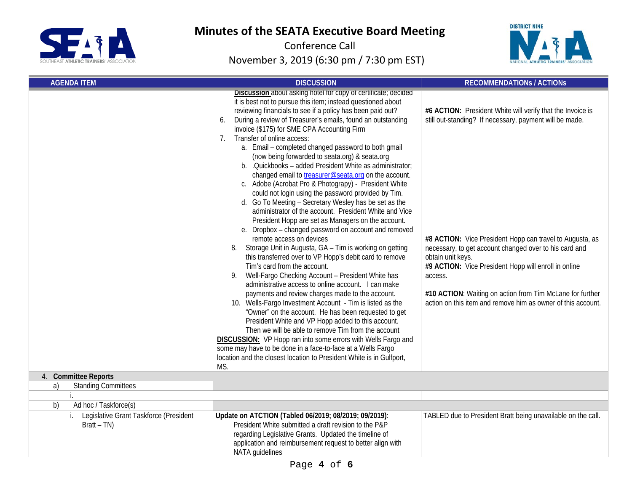



| <b>AGENDA ITEM</b>                                         | <b>DISCUSSION</b>                                                                                                                                                                                                                                                                                                                                                                                                                                                                                                                                                                                                                                                                                                                                                                                                                                                                                                                                                                                                                                                                                                                                                                                                                                                                                                                                                                                                                                                                                                                                                                                                                                                                                                                                     | <b>RECOMMENDATIONS / ACTIONS</b>                                                                                                                                                                                                                                                                                                                                                                                                                                 |  |  |
|------------------------------------------------------------|-------------------------------------------------------------------------------------------------------------------------------------------------------------------------------------------------------------------------------------------------------------------------------------------------------------------------------------------------------------------------------------------------------------------------------------------------------------------------------------------------------------------------------------------------------------------------------------------------------------------------------------------------------------------------------------------------------------------------------------------------------------------------------------------------------------------------------------------------------------------------------------------------------------------------------------------------------------------------------------------------------------------------------------------------------------------------------------------------------------------------------------------------------------------------------------------------------------------------------------------------------------------------------------------------------------------------------------------------------------------------------------------------------------------------------------------------------------------------------------------------------------------------------------------------------------------------------------------------------------------------------------------------------------------------------------------------------------------------------------------------------|------------------------------------------------------------------------------------------------------------------------------------------------------------------------------------------------------------------------------------------------------------------------------------------------------------------------------------------------------------------------------------------------------------------------------------------------------------------|--|--|
|                                                            | Discussion about asking hotel for copy of certificate; decided<br>it is best not to pursue this item; instead questioned about<br>reviewing financials to see if a policy has been paid out?<br>During a review of Treasurer's emails, found an outstanding<br>6.<br>invoice (\$175) for SME CPA Accounting Firm<br>Transfer of online access:<br>7.<br>a. Email - completed changed password to both gmail<br>(now being forwarded to seata.org) & seata.org<br>b. .Quickbooks - added President White as administrator:<br>changed email to treasurer@seata.org on the account.<br>c. Adobe (Acrobat Pro & Photograpy) - President White<br>could not login using the password provided by Tim.<br>d. Go To Meeting - Secretary Wesley has be set as the<br>administrator of the account. President White and Vice<br>President Hopp are set as Managers on the account.<br>e. Dropbox - changed password on account and removed<br>remote access on devices<br>8. Storage Unit in Augusta, GA - Tim is working on getting<br>this transferred over to VP Hopp's debit card to remove<br>Tim's card from the account.<br>Well-Fargo Checking Account - President White has<br>9.<br>administrative access to online account. I can make<br>payments and review charges made to the account.<br>10. Wells-Fargo Investment Account - Tim is listed as the<br>"Owner" on the account. He has been requested to get<br>President White and VP Hopp added to this account.<br>Then we will be able to remove Tim from the account<br><b>DISCUSSION:</b> VP Hopp ran into some errors with Wells Fargo and<br>some may have to be done in a face-to-face at a Wells Fargo<br>location and the closest location to President White is in Gulfport,<br>MS. | #6 ACTION: President White will verify that the Invoice is<br>still out-standing? If necessary, payment will be made.<br>#8 ACTION: Vice President Hopp can travel to Augusta, as<br>necessary, to get account changed over to his card and<br>obtain unit keys.<br>#9 ACTION: Vice President Hopp will enroll in online<br>access.<br>#10 ACTION: Waiting on action from Tim McLane for further<br>action on this item and remove him as owner of this account. |  |  |
| 4. Committee Reports                                       |                                                                                                                                                                                                                                                                                                                                                                                                                                                                                                                                                                                                                                                                                                                                                                                                                                                                                                                                                                                                                                                                                                                                                                                                                                                                                                                                                                                                                                                                                                                                                                                                                                                                                                                                                       |                                                                                                                                                                                                                                                                                                                                                                                                                                                                  |  |  |
| <b>Standing Committees</b><br>a)                           |                                                                                                                                                                                                                                                                                                                                                                                                                                                                                                                                                                                                                                                                                                                                                                                                                                                                                                                                                                                                                                                                                                                                                                                                                                                                                                                                                                                                                                                                                                                                                                                                                                                                                                                                                       |                                                                                                                                                                                                                                                                                                                                                                                                                                                                  |  |  |
|                                                            |                                                                                                                                                                                                                                                                                                                                                                                                                                                                                                                                                                                                                                                                                                                                                                                                                                                                                                                                                                                                                                                                                                                                                                                                                                                                                                                                                                                                                                                                                                                                                                                                                                                                                                                                                       |                                                                                                                                                                                                                                                                                                                                                                                                                                                                  |  |  |
| $\overline{b}$<br>Ad hoc / Taskforce(s)                    |                                                                                                                                                                                                                                                                                                                                                                                                                                                                                                                                                                                                                                                                                                                                                                                                                                                                                                                                                                                                                                                                                                                                                                                                                                                                                                                                                                                                                                                                                                                                                                                                                                                                                                                                                       |                                                                                                                                                                                                                                                                                                                                                                                                                                                                  |  |  |
| i. Legislative Grant Taskforce (President<br>$Bratt - TN)$ | Update on ATCTION (Tabled 06/2019; 08/2019; 09/2019):<br>President White submitted a draft revision to the P&P<br>regarding Legislative Grants. Updated the timeline of<br>application and reimbursement request to better align with<br>NATA quidelines                                                                                                                                                                                                                                                                                                                                                                                                                                                                                                                                                                                                                                                                                                                                                                                                                                                                                                                                                                                                                                                                                                                                                                                                                                                                                                                                                                                                                                                                                              | TABLED due to President Bratt being unavailable on the call.                                                                                                                                                                                                                                                                                                                                                                                                     |  |  |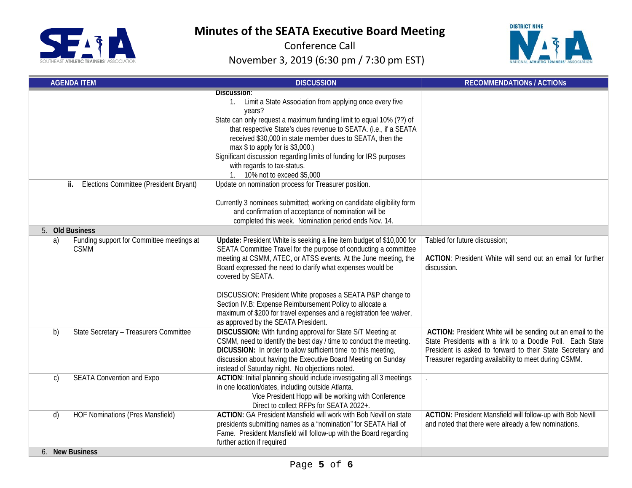



| <b>AGENDA ITEM</b>                                             | <b>DISCUSSION</b>                                                                                                                                                                                                                                                                                                                                                                                                                                                                                                                       | <b>RECOMMENDATIONS / ACTIONS</b>                                                                                                                                                                                                                |
|----------------------------------------------------------------|-----------------------------------------------------------------------------------------------------------------------------------------------------------------------------------------------------------------------------------------------------------------------------------------------------------------------------------------------------------------------------------------------------------------------------------------------------------------------------------------------------------------------------------------|-------------------------------------------------------------------------------------------------------------------------------------------------------------------------------------------------------------------------------------------------|
|                                                                | <b>Discussion:</b><br>Limit a State Association from applying once every five<br>$1_{\cdot}$<br>years?<br>State can only request a maximum funding limit to equal 10% (??) of<br>that respective State's dues revenue to SEATA. (i.e., if a SEATA<br>received \$30,000 in state member dues to SEATA, then the<br>max $$$ to apply for is $$3,000$ .)<br>Significant discussion regarding limits of funding for IRS purposes<br>with regards to tax-status.<br>1. 10% not to exceed \$5,000                                             |                                                                                                                                                                                                                                                 |
| Elections Committee (President Bryant)<br>ij.                  | Update on nomination process for Treasurer position.<br>Currently 3 nominees submitted; working on candidate eligibility form<br>and confirmation of acceptance of nomination will be<br>completed this week. Nomination period ends Nov. 14.                                                                                                                                                                                                                                                                                           |                                                                                                                                                                                                                                                 |
| 5. Old Business                                                |                                                                                                                                                                                                                                                                                                                                                                                                                                                                                                                                         |                                                                                                                                                                                                                                                 |
| Funding support for Committee meetings at<br>a)<br><b>CSMM</b> | Update: President White is seeking a line item budget of \$10,000 for<br>SEATA Committee Travel for the purpose of conducting a committee<br>meeting at CSMM, ATEC, or ATSS events. At the June meeting, the<br>Board expressed the need to clarify what expenses would be<br>covered by SEATA.<br>DISCUSSION: President White proposes a SEATA P&P change to<br>Section IV.B: Expense Reimbursement Policy to allocate a<br>maximum of \$200 for travel expenses and a registration fee waiver,<br>as approved by the SEATA President. | Tabled for future discussion;<br><b>ACTION:</b> President White will send out an email for further<br>discussion.                                                                                                                               |
| State Secretary - Treasurers Committee<br>b)                   | <b>DISCUSSION:</b> With funding approval for State S/T Meeting at<br>CSMM, need to identify the best day / time to conduct the meeting.<br>DICUSSION: In order to allow sufficient time to this meeting,<br>discussion about having the Executive Board Meeting on Sunday<br>instead of Saturday night. No objections noted.                                                                                                                                                                                                            | ACTION: President White will be sending out an email to the<br>State Presidents with a link to a Doodle Poll. Each State<br>President is asked to forward to their State Secretary and<br>Treasurer regarding availability to meet during CSMM. |
| <b>SEATA Convention and Expo</b><br>$\mathsf{C}$               | ACTION: Initial planning should include investigating all 3 meetings<br>in one location/dates, including outside Atlanta.<br>Vice President Hopp will be working with Conference<br>Direct to collect RFPs for SEATA 2022+.                                                                                                                                                                                                                                                                                                             | $\ddot{\phantom{a}}$                                                                                                                                                                                                                            |
| <b>HOF Nominations (Pres Mansfield)</b><br>d)                  | <b>ACTION: GA President Mansfield will work with Bob Nevill on state</b><br>presidents submitting names as a "nomination" for SEATA Hall of<br>Fame. President Mansfield will follow-up with the Board regarding<br>further action if required                                                                                                                                                                                                                                                                                          | ACTION: President Mansfield will follow-up with Bob Nevill<br>and noted that there were already a few nominations.                                                                                                                              |
| 6. New Business                                                |                                                                                                                                                                                                                                                                                                                                                                                                                                                                                                                                         |                                                                                                                                                                                                                                                 |